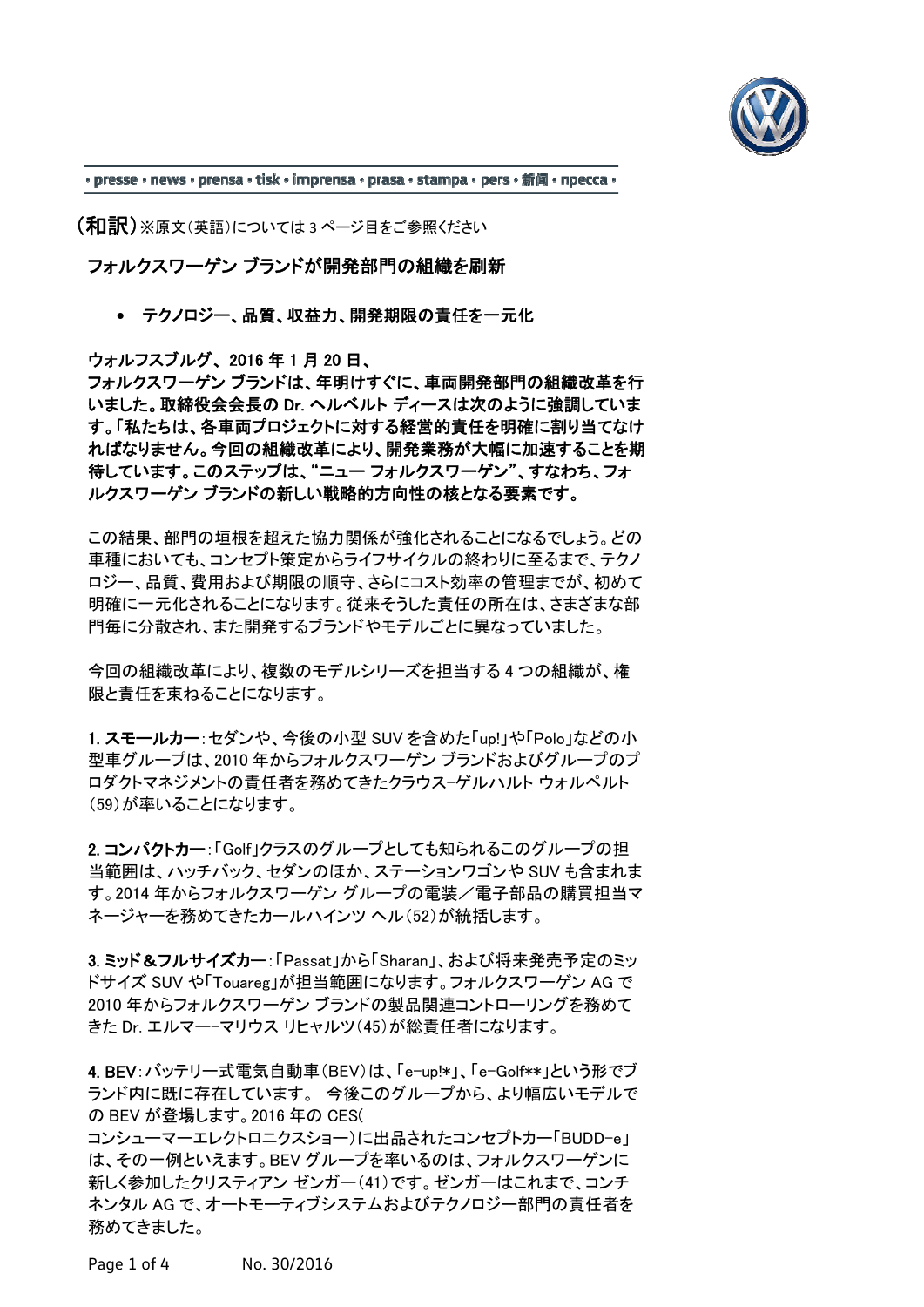

• presse • news • prensa • tisk • imprensa • prasa • stampa • pers • 新闻 • npecca •

(和訳)※原文(英語)については <sup>3</sup> ページ目をご参照ください

フォルクスワーゲン ブランドが開発部門の組織を刷新

テクノロジー、品質、収益力、開発期限の責任を一元化

ウォルフスブルグ、 2016 年 1 月 20 日、

フォルクスワーゲン ブランドは、年明けすぐに、車両開発部門の組織改革を行 いました。取締役会会長の Dr. ヘルベルト ディースは次のように強調していま す。「私たちは、各車両プロジェクトに対する経営的責任を明確に割り当てなけ ればなりません。今回の組織改革により、開発業務が大幅に加速することを期 待しています。このステップは、"ニュー フォルクスワーゲン"、すなわち、フォ ルクスワーゲン ブランドの新しい戦略的方向性の核となる要素です。

この結果、部門の垣根を超えた協力関係が強化されることになるでしょう。どの 車種においても、コンセプト策定からライフサイクルの終わりに至るまで、テクノ ロジー、品質、費用および期限の順守、さらにコスト効率の管理までが、初めて 明確に一元化されることになります。従来そうした責任の所在は、さまざまな部 門毎に分散され、また開発するブランドやモデルごとに異なっていました。

今回の組織改革により、複数のモデルシリーズを担当する 4 つの組織が、権 限と責任を束ねることになります。

1. スモールカー:セダンや、今後の小型 SUV を含めた「up!」や「Polo」などの小 型車グループは、2010 年からフォルクスワーゲン ブランドおよびグループのプ ロダクトマネジメントの責任者を務めてきたクラウス-ゲルハルト ウォルペルト (59)が率いることになります。

2. コンパクトカー:「Golf」クラスのグループとしても知られるこのグループの担 当範囲は、ハッチバック、セダンのほか、ステーションワゴンや SUV も含まれま す。2014 年からフォルクスワーゲン グループの電装/電子部品の購買担当マ ネージャーを務めてきたカールハインツ ヘル(52)が統括します。

3. ミッド&フルサイズカー:「Passat」から「Sharan」、および将来発売予定のミッ ドサイズ SUV や「Touareg」が担当範囲になります。フォルクスワーゲン AG で 2010 年からフォルクスワーゲン ブランドの製品関連コントローリングを務めて きた Dr. エルマー-マリウス リヒャルツ(45)が総責任者になります。

4. BEV:バッテリー式電気自動車(BEV)は、「e-up!\*」、「e-Golf\*\*」という形でブ ランド内に既に存在しています。 今後このグループから、より幅広いモデルで の BEV が登場します。2016 年の CES(

コンシューマーエレクトロニクスショー)に出品されたコンセプトカー「BUDD-e」 は、その一例といえます。BEV グループを率いるのは、フォルクスワーゲンに 新しく参加したクリスティアン ゼンガー(41)です。ゼンガーはこれまで、コンチ ネンタル AG で、オートモーティブシステムおよびテクノロジー部門の責任者を 務めてきました。

Page 1 of 4 No. 30/2016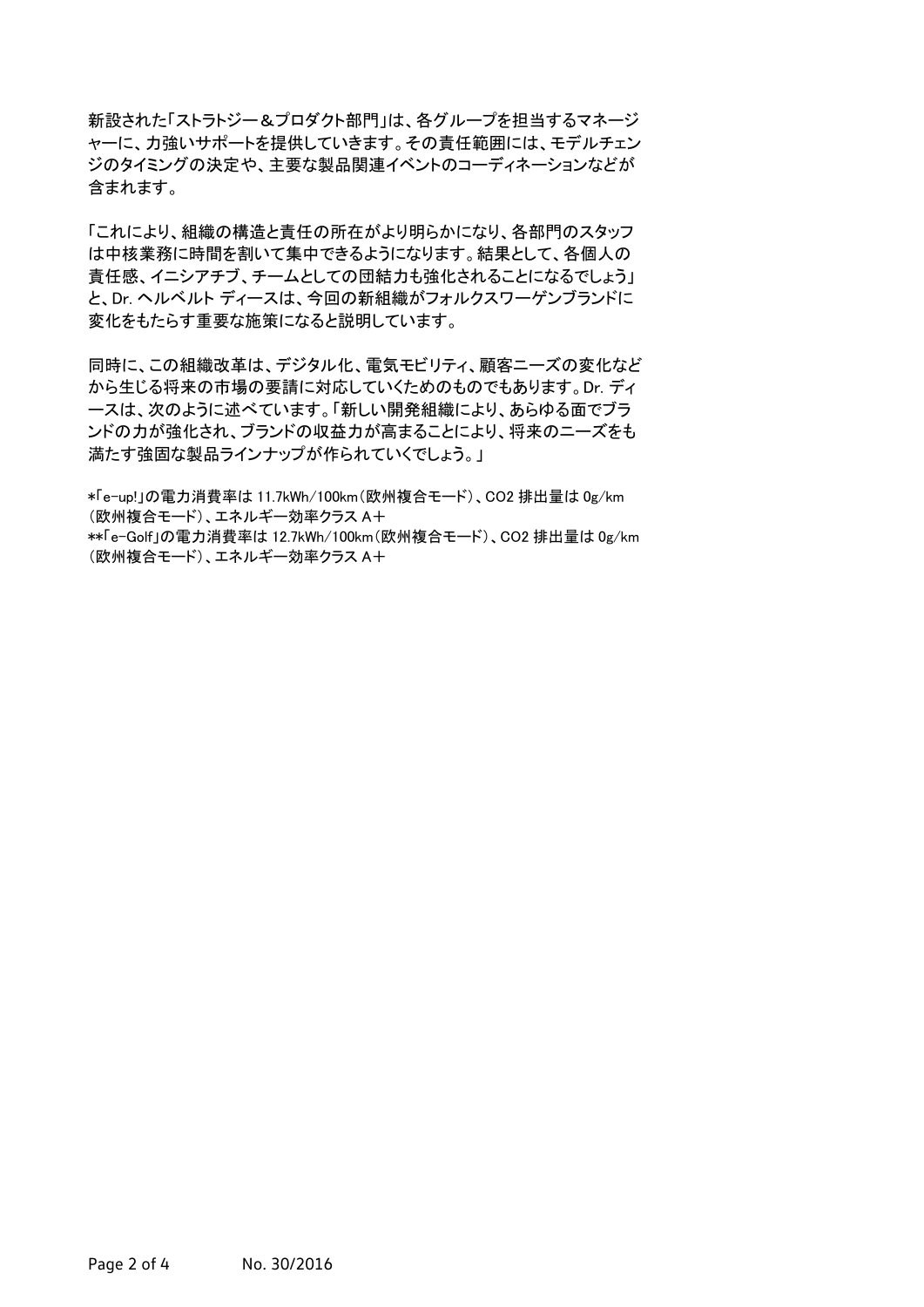新設された「ストラトジー&プロダクト部門」は、各グループを担当するマネージ ャーに、力強いサポートを提供していきます。その責任範囲には、モデルチェン ジのタイミングの決定や、主要な製品関連イベントのコーディネーションなどが 含まれます。

「これにより、組織の構造と責任の所在がより明らかになり、各部門のスタッフ は中核業務に時間を割いて集中できるようになります。結果として、各個人の 責任感、イニシアチブ、チームとしての団結力も強化されることになるでしょう」 と、Dr. ヘルベルト ディースは、今回の新組織がフォルクスワーゲンブランドに 変化をもたらす重要な施策になると説明しています。

同時に、この組織改革は、デジタル化、電気モビリティ、顧客ニーズの変化など から生じる将来の市場の要請に対応していくためのものでもあります。Dr. ディ ースは、次のように述べています。「新しい開発組織により、あらゆる面でブラ ンドの力が強化され、ブランドの収益力が高まることにより、将来のニーズをも 満たす強固な製品ラインナップが作られていくでしょう。」

\*「e-up!」の電力消費率は 11.7kWh/100km(欧州複合モード)、CO2 排出量は 0g/km (欧州複合モード)、エネルギー効率クラス A+

\*\*「e-Golf」の電力消費率は 12.7kWh/100km(欧州複合モード)、CO2 排出量は 0g/km (欧州複合モード)、エネルギー効率クラス A+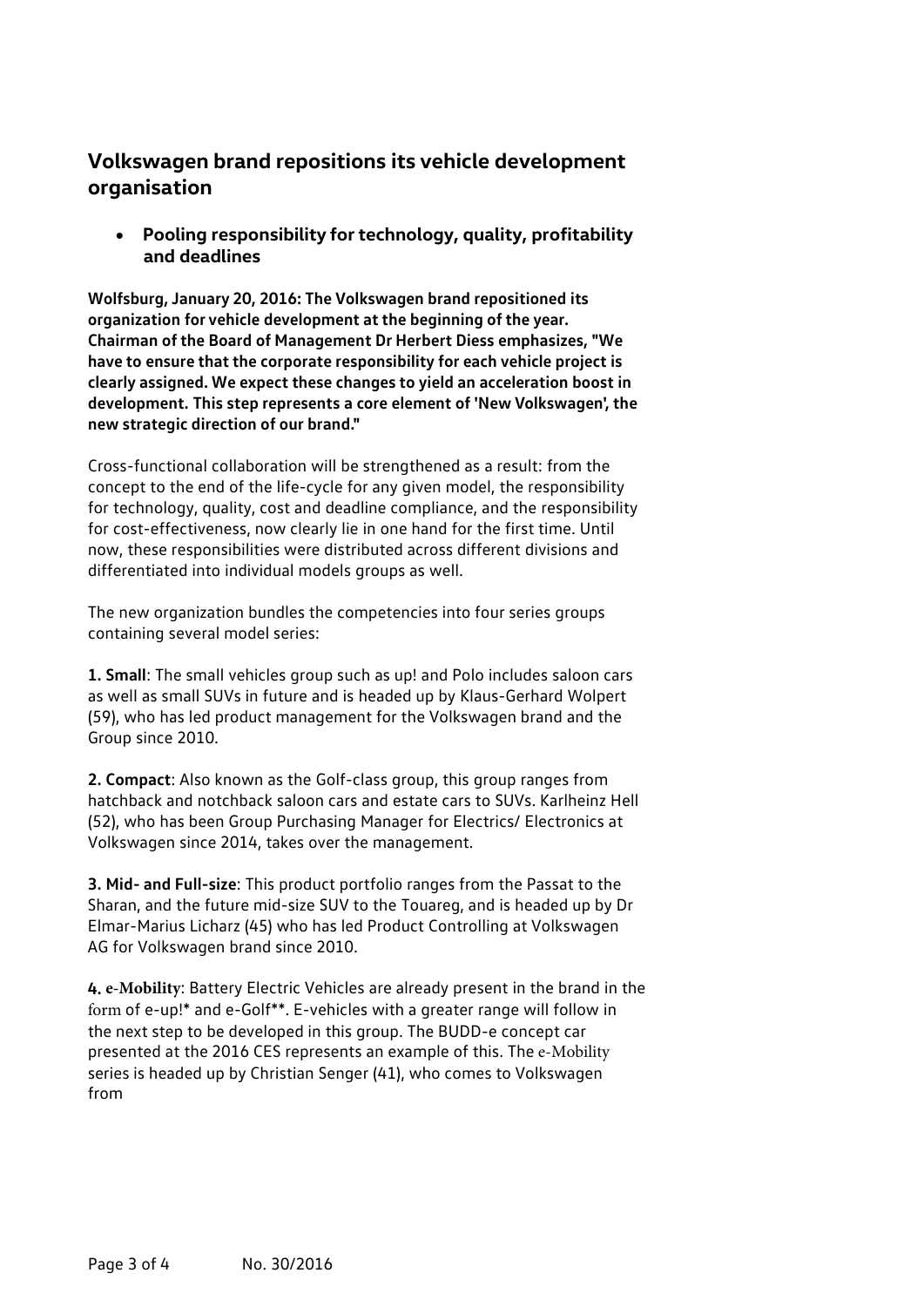## **Volkswagen brand repositions its vehicle development organisation**

 **Pooling responsibility for technology, quality, profitability and deadlines**

**Wolfsburg, January 20, 2016: The Volkswagen brand repositioned its organization for vehicle development at the beginning of the year. Chairman of the Board of Management Dr Herbert Diess emphasizes, "We have to ensure that the corporate responsibility for each vehicle project is clearly assigned. We expect these changes to yield an acceleration boost in development. This step represents a core element of 'New Volkswagen', the new strategic direction of our brand."**

Cross-functional collaboration will be strengthened as a result: from the concept to the end of the life-cycle for any given model, the responsibility for technology, quality, cost and deadline compliance, and the responsibility for cost-effectiveness, now clearly lie in one hand for the first time. Until now, these responsibilities were distributed across different divisions and differentiated into individual models groups as well.

The new organization bundles the competencies into four series groups containing several model series:

**1. Small**: The small vehicles group such as up! and Polo includes saloon cars as well as small SUVs in future and is headed up by Klaus-Gerhard Wolpert (59), who has led product management for the Volkswagen brand and the Group since 2010.

**2. Compact**: Also known as the Golf-class group, this group ranges from hatchback and notchback saloon cars and estate cars to SUVs. Karlheinz Hell (52), who has been Group Purchasing Manager for Electrics/ Electronics at Volkswagen since 2014, takes over the management.

**3. Mid- and Full-size**: This product portfolio ranges from the Passat to the Sharan, and the future mid-size SUV to the Touareg, and is headed up by Dr Elmar-Marius Licharz (45) who has led Product Controlling at Volkswagen AG for Volkswagen brand since 2010.

**4. e-Mobility**: Battery Electric Vehicles are already present in the brand in the form of e-up!\* and e-Golf\*\*. E-vehicles with a greater range will follow in the next step to be developed in this group. The BUDD-e concept car presented at the 2016 CES represents an example of this. The e-Mobility series is headed up by Christian Senger (41), who comes to Volkswagen from